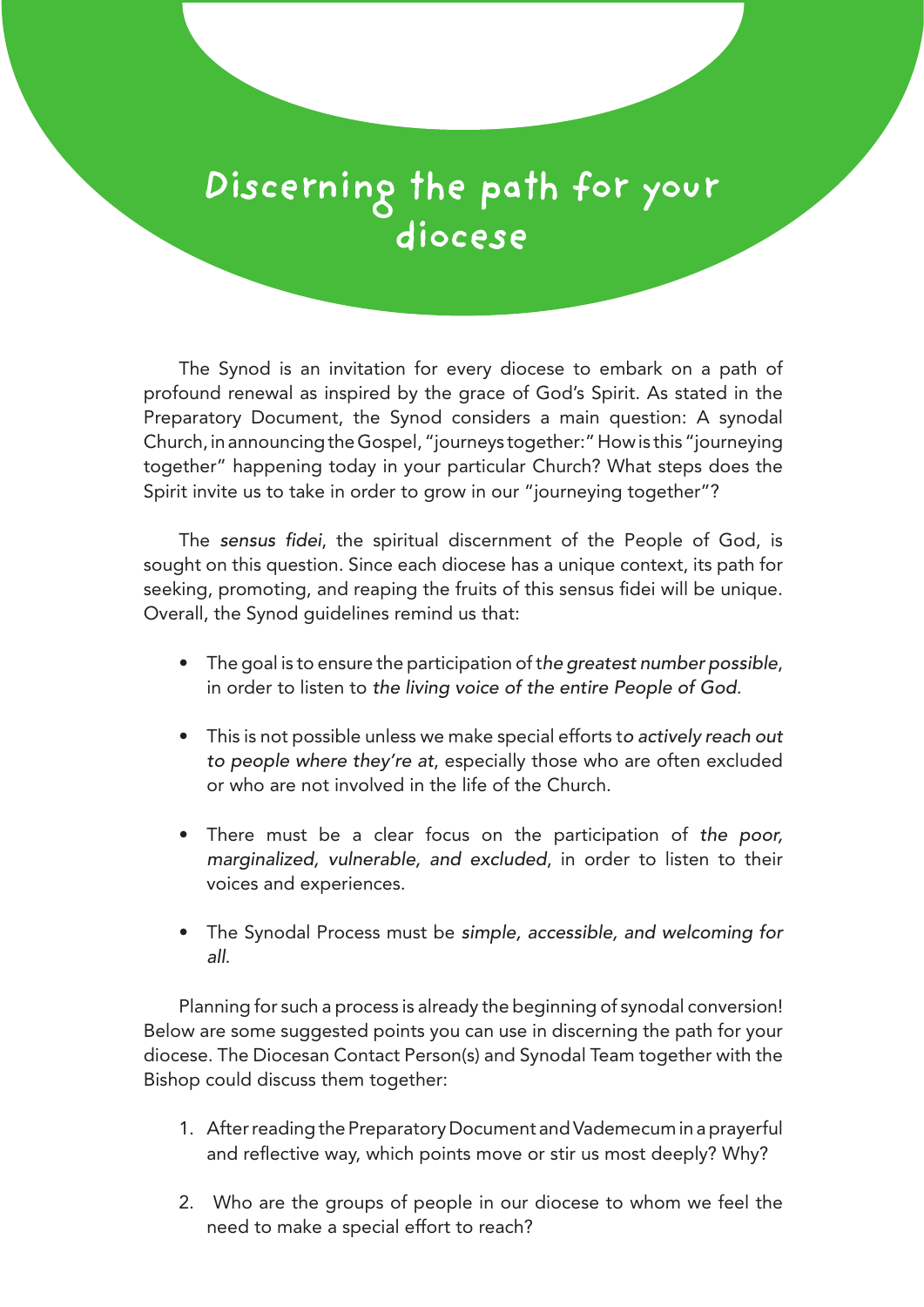## **Discerning the path for your diocese**

The Synod is an invitation for every diocese to embark on a path of profound renewal as inspired by the grace of God's Spirit. As stated in the Preparatory Document, the Synod considers a main question: A synodal Church, in announcing the Gospel, "journeys together:" How is this "journeying together" happening today in your particular Church? What steps does the Spirit invite us to take in order to grow in our "journeying together"?

The *sensus fidei*, the spiritual discernment of the People of God, is sought on this question. Since each diocese has a unique context, its path for seeking, promoting, and reaping the fruits of this sensus fidei will be unique. Overall, the Synod guidelines remind us that:

- The goal is to ensure the participation of t*he greatest number possible*, in order to listen to *the living voice of the entire People of God*.
- This is not possible unless we make special efforts t*o actively reach out to people where they're at*, especially those who are often excluded or who are not involved in the life of the Church.
- There must be a clear focus on the participation of *the poor, marginalized, vulnerable, and excluded*, in order to listen to their voices and experiences.
- The Synodal Process must be *simple, accessible, and welcoming for all*.

Planning for such a process is already the beginning of synodal conversion! Below are some suggested points you can use in discerning the path for your diocese. The Diocesan Contact Person(s) and Synodal Team together with the Bishop could discuss them together:

- 1. After reading the Preparatory Document and Vademecum in a prayerful and reflective way, which points move or stir us most deeply? Why?
- 2. Who are the groups of people in our diocese to whom we feel the need to make a special effort to reach?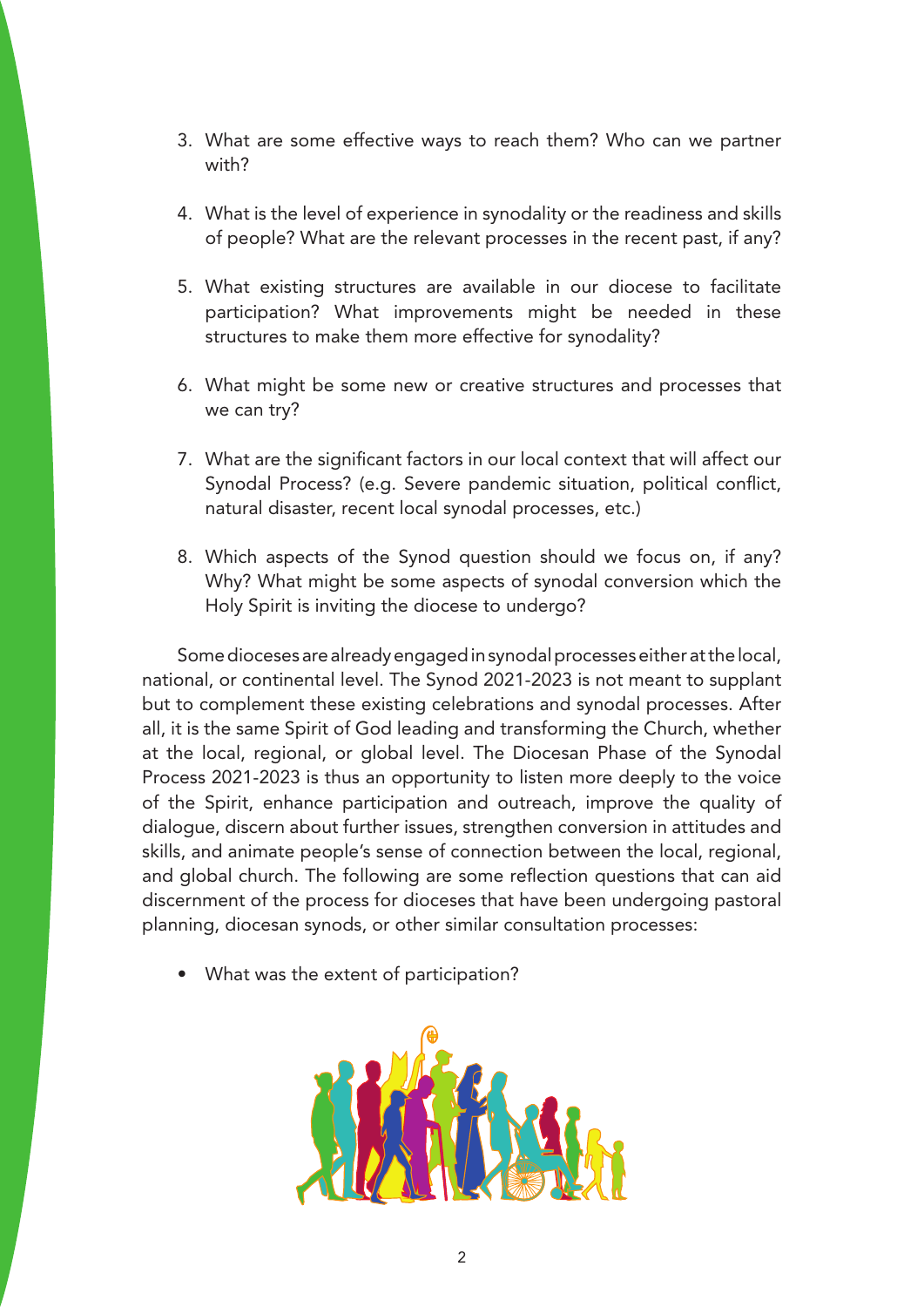- 3. What are some effective ways to reach them? Who can we partner with?
- 4. What is the level of experience in synodality or the readiness and skills of people? What are the relevant processes in the recent past, if any?
- 5. What existing structures are available in our diocese to facilitate participation? What improvements might be needed in these structures to make them more effective for synodality?
- 6. What might be some new or creative structures and processes that we can try?
- 7. What are the significant factors in our local context that will affect our Synodal Process? (e.g. Severe pandemic situation, political conflict, natural disaster, recent local synodal processes, etc.)
- 8. Which aspects of the Synod question should we focus on, if any? Why? What might be some aspects of synodal conversion which the Holy Spirit is inviting the diocese to undergo?

Some dioceses are already engaged in synodal processes either at the local, national, or continental level. The Synod 2021-2023 is not meant to supplant but to complement these existing celebrations and synodal processes. After all, it is the same Spirit of God leading and transforming the Church, whether at the local, regional, or global level. The Diocesan Phase of the Synodal Process 2021-2023 is thus an opportunity to listen more deeply to the voice of the Spirit, enhance participation and outreach, improve the quality of dialogue, discern about further issues, strengthen conversion in attitudes and skills, and animate people's sense of connection between the local, regional, and global church. The following are some reflection questions that can aid discernment of the process for dioceses that have been undergoing pastoral planning, diocesan synods, or other similar consultation processes:

• What was the extent of participation?